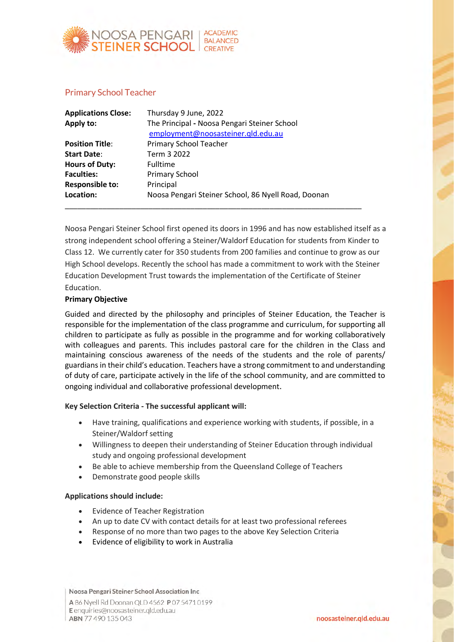

## Primary School Teacher

| <b>Applications Close:</b> | Thursday 9 June, 2022                                                              |
|----------------------------|------------------------------------------------------------------------------------|
| Apply to:                  | The Principal - Noosa Pengari Steiner School<br>employment@noosasteiner.qld.edu.au |
| <b>Position Title:</b>     | <b>Primary School Teacher</b>                                                      |
| <b>Start Date:</b>         | Term 3 2022                                                                        |
| <b>Hours of Duty:</b>      | <b>Fulltime</b>                                                                    |
| <b>Faculties:</b>          | Primary School                                                                     |
| <b>Responsible to:</b>     | Principal                                                                          |
| Location:                  | Noosa Pengari Steiner School, 86 Nyell Road, Doonan                                |
|                            |                                                                                    |

Noosa Pengari Steiner School first opened its doors in 1996 and has now established itself as a strong independent school offering a Steiner/Waldorf Education for students from Kinder to Class 12. We currently cater for 350 students from 200 families and continue to grow as our High School develops. Recently the school has made a commitment to work with the Steiner Education Development Trust towards the implementation of the Certificate of Steiner Education.

### **Primary Objective**

Guided and directed by the philosophy and principles of Steiner Education, the Teacher is responsible for the implementation of the class programme and curriculum, for supporting all children to participate as fully as possible in the programme and for working collaboratively with colleagues and parents. This includes pastoral care for the children in the Class and maintaining conscious awareness of the needs of the students and the role of parents/ guardians in their child's education. Teachers have a strong commitment to and understanding of duty of care, participate actively in the life of the school community, and are committed to ongoing individual and collaborative professional development.

#### **Key Selection Criteria - The successful applicant will:**

- Have training, qualifications and experience working with students, if possible, in a Steiner/Waldorf setting
- Willingness to deepen their understanding of Steiner Education through individual study and ongoing professional development
- Be able to achieve membership from the Queensland College of Teachers
- Demonstrate good people skills

### **Applications should include:**

- Evidence of Teacher Registration
- An up to date CV with contact details for at least two professional referees
- Response of no more than two pages to the above Key Selection Criteria
- Evidence of eligibility to work in Australia

Noosa Pengari Steiner School Association Inc

A 86 Nyell Rd Doonan QLD 4562 P 07 5471 0199 E enquiries@noosasteiner.gld.edu.au ABN 77 490 135 043